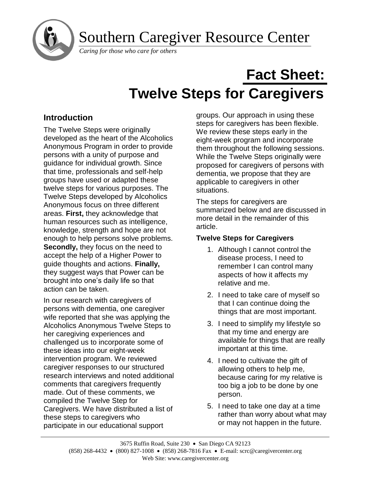Southern Caregiver Resource Center

*Caring for those who care for others*

# **Fact Sheet: Twelve Steps for Caregivers**

## **Introduction**

 $\overline{a}$ 

The Twelve Steps were originally developed as the heart of the Alcoholics Anonymous Program in order to provide persons with a unity of purpose and guidance for individual growth. Since that time, professionals and self-help groups have used or adapted these twelve steps for various purposes. The Twelve Steps developed by Alcoholics Anonymous focus on three different areas. **First,** they acknowledge that human resources such as intelligence, knowledge, strength and hope are not enough to help persons solve problems. **Secondly,** they focus on the need to accept the help of a Higher Power to guide thoughts and actions. **Finally,**  they suggest ways that Power can be brought into one's daily life so that action can be taken.

In our research with caregivers of persons with dementia, one caregiver wife reported that she was applying the Alcoholics Anonymous Twelve Steps to her caregiving experiences and challenged us to incorporate some of these ideas into our eight-week intervention program. We reviewed caregiver responses to our structured research interviews and noted additional comments that caregivers frequently made. Out of these comments, we compiled the Twelve Step for Caregivers. We have distributed a list of these steps to caregivers who participate in our educational support

groups. Our approach in using these steps for caregivers has been flexible. We review these steps early in the eight-week program and incorporate them throughout the following sessions. While the Twelve Steps originally were proposed for caregivers of persons with dementia, we propose that they are applicable to caregivers in other situations.

The steps for caregivers are summarized below and are discussed in more detail in the remainder of this article.

## **Twelve Steps for Caregivers**

- 1. Although I cannot control the disease process, I need to remember I can control many aspects of how it affects my relative and me.
- 2. I need to take care of myself so that I can continue doing the things that are most important.
- 3. I need to simplify my lifestyle so that my time and energy are available for things that are really important at this time.
- 4. I need to cultivate the gift of allowing others to help me, because caring for my relative is too big a job to be done by one person.
- 5. I need to take one day at a time rather than worry about what may or may not happen in the future.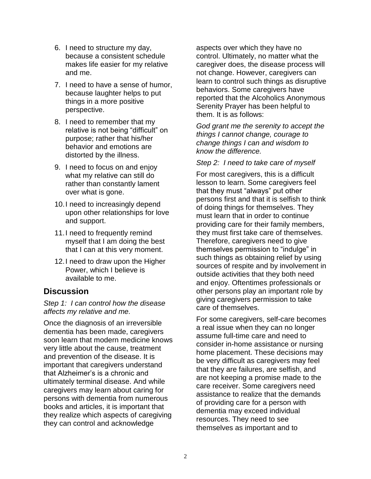- 6. I need to structure my day, because a consistent schedule makes life easier for my relative and me.
- 7. I need to have a sense of humor, because laughter helps to put things in a more positive perspective.
- 8. I need to remember that my relative is not being "difficult" on purpose; rather that his/her behavior and emotions are distorted by the illness.
- 9. I need to focus on and enjoy what my relative can still do rather than constantly lament over what is gone.
- 10.I need to increasingly depend upon other relationships for love and support.
- 11.I need to frequently remind myself that I am doing the best that I can at this very moment.
- 12.I need to draw upon the Higher Power, which I believe is available to me.

### **Discussion**

*Step 1: I can control how the disease affects my relative and me.*

Once the diagnosis of an irreversible dementia has been made, caregivers soon learn that modern medicine knows very little about the cause, treatment and prevention of the disease. It is important that caregivers understand that Alzheimer's is a chronic and ultimately terminal disease. And while caregivers may learn about caring for persons with dementia from numerous books and articles, it is important that they realize which aspects of caregiving they can control and acknowledge

aspects over which they have no control. Ultimately, no matter what the caregiver does, the disease process will not change. However, caregivers can learn to control such things as disruptive behaviors. Some caregivers have reported that the Alcoholics Anonymous Serenity Prayer has been helpful to them. It is as follows:

*God grant me the serenity to accept the things I cannot change, courage to change things I can and wisdom to know the difference.*

#### *Step 2: I need to take care of myself*

For most caregivers, this is a difficult lesson to learn. Some caregivers feel that they must "always" put other persons first and that it is selfish to think of doing things for themselves. They must learn that in order to continue providing care for their family members, they must first take care of themselves. Therefore, caregivers need to give themselves permission to "indulge" in such things as obtaining relief by using sources of respite and by involvement in outside activities that they both need and enjoy. Oftentimes professionals or other persons play an important role by giving caregivers permission to take care of themselves.

For some caregivers, self-care becomes a real issue when they can no longer assume full-time care and need to consider in-home assistance or nursing home placement. These decisions may be very difficult as caregivers may feel that they are failures, are selfish, and are not keeping a promise made to the care receiver. Some caregivers need assistance to realize that the demands of providing care for a person with dementia may exceed individual resources. They need to see themselves as important and to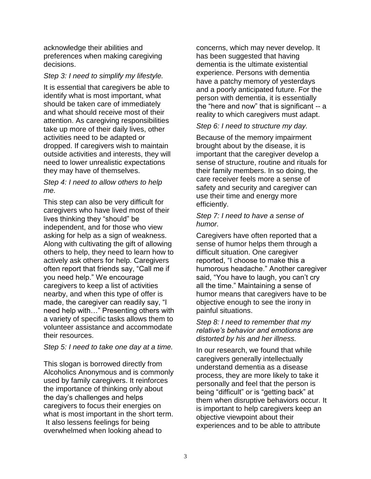acknowledge their abilities and preferences when making caregiving decisions.

#### *Step 3: I need to simplify my lifestyle.*

It is essential that caregivers be able to identify what is most important, what should be taken care of immediately and what should receive most of their attention. As caregiving responsibilities take up more of their daily lives, other activities need to be adapted or dropped. If caregivers wish to maintain outside activities and interests, they will need to lower unrealistic expectations they may have of themselves.

#### *Step 4: I need to allow others to help me.*

This step can also be very difficult for caregivers who have lived most of their lives thinking they "should" be independent, and for those who view asking for help as a sign of weakness. Along with cultivating the gift of allowing others to help, they need to learn how to actively ask others for help. Caregivers often report that friends say, "Call me if you need help." We encourage caregivers to keep a list of activities nearby, and when this type of offer is made, the caregiver can readily say, "I need help with…" Presenting others with a variety of specific tasks allows them to volunteer assistance and accommodate their resources.

#### *Step 5: I need to take one day at a time.*

This slogan is borrowed directly from Alcoholics Anonymous and is commonly used by family caregivers. It reinforces the importance of thinking only about the day's challenges and helps caregivers to focus their energies on what is most important in the short term. It also lessens feelings for being overwhelmed when looking ahead to

concerns, which may never develop. It has been suggested that having dementia is the ultimate existential experience. Persons with dementia have a patchy memory of yesterdays and a poorly anticipated future. For the person with dementia, it is essentially the "here and now" that is significant -- a reality to which caregivers must adapt.

#### *Step 6: I need to structure my day.*

Because of the memory impairment brought about by the disease, it is important that the caregiver develop a sense of structure, routine and rituals for their family members. In so doing, the care receiver feels more a sense of safety and security and caregiver can use their time and energy more efficiently.

#### *Step 7: I need to have a sense of humor.*

Caregivers have often reported that a sense of humor helps them through a difficult situation. One caregiver reported, "I choose to make this a humorous headache." Another caregiver said, "You have to laugh, you can't cry all the time." Maintaining a sense of humor means that caregivers have to be objective enough to see the irony in painful situations.

#### *Step 8: I need to remember that my relative's behavior and emotions are distorted by his and her illness.*

In our research, we found that while caregivers generally intellectually understand dementia as a disease process, they are more likely to take it personally and feel that the person is being "difficult" or is "getting back" at them when disruptive behaviors occur. It is important to help caregivers keep an objective viewpoint about their experiences and to be able to attribute